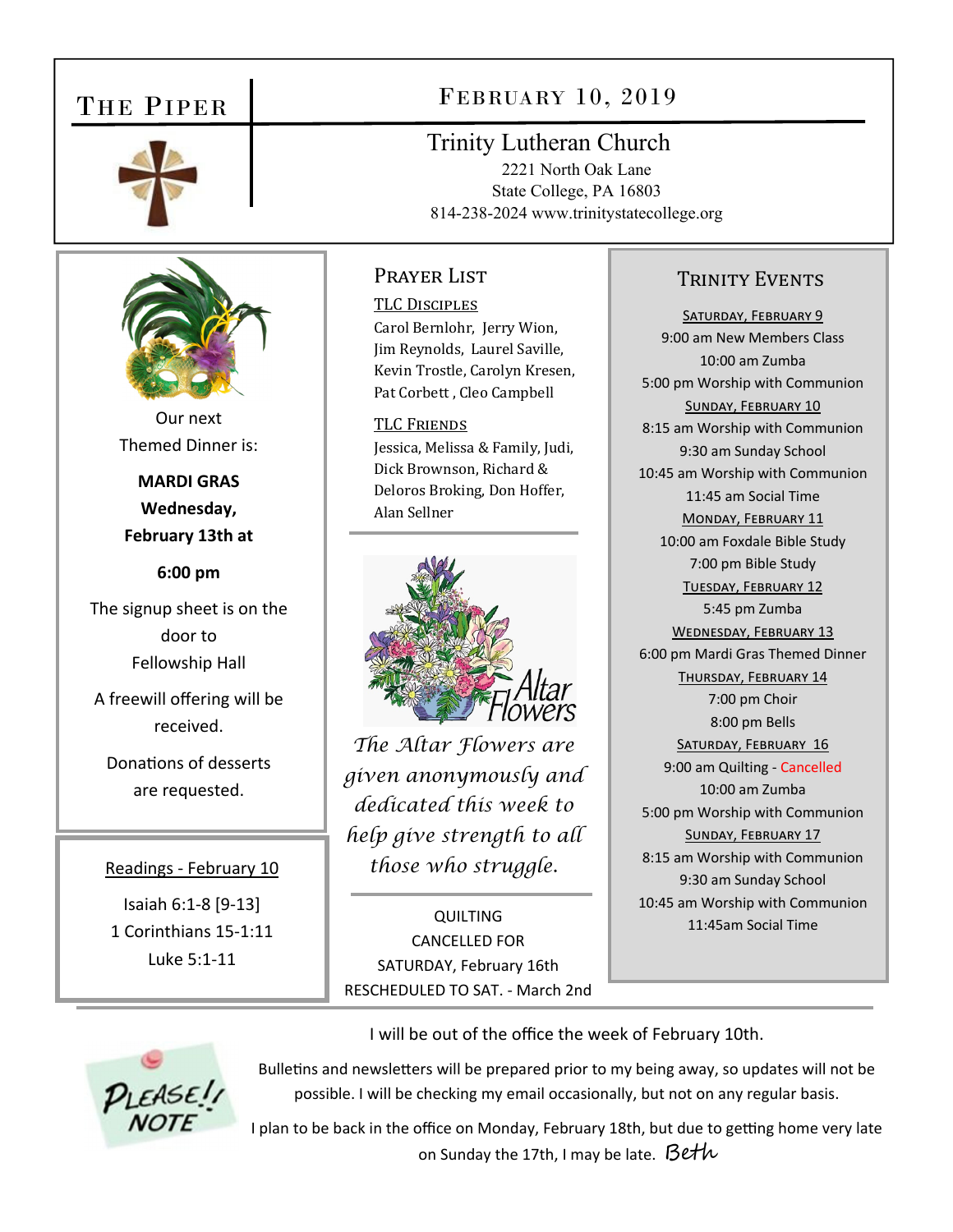# THE PIPER





Our next Themed Dinner is:

**MARDI GRAS Wednesday, February 13th at** 

**6:00 pm** 

The signup sheet is on the door to Fellowship Hall

A freewill offering will be received.

Donations of desserts are requested.

#### Readings ‐ February 10

Isaiah 6:1‐8 [9‐13] 1 Corinthians 15‐1:11 Luke 5:1‐11

# FEBRUARY 10, 2019

## Trinity Lutheran Church

2221 North Oak Lane State College, PA 16803 814-238-2024 www.trinitystatecollege.org

## Prayer List

TLC DISCIPLES Carol Bernlohr, Jerry Wion, Jim Reynolds, Laurel Saville, Kevin Trostle, Carolyn Kresen, Pat Corbett , Cleo Campbell

**TLC FRIENDS** Jessica, Melissa & Family, Judi, Dick Brownson, Richard & Deloros Broking, Don Hoffer, Alan Sellner



*The Altar Flowers are given anonymously and dedicated this week to help give strength to all those who struggle.* 

**QUILTING** CANCELLED FOR SATURDAY, February 16th RESCHEDULED TO SAT. ‐ March 2nd

### TRINITY EVENTS

SATURDAY, FEBRUARY 9 9:00 am New Members Class 10:00 am Zumba 5:00 pm Worship with Communion SUNDAY, FEBRUARY 10 8:15 am Worship with Communion 9:30 am Sunday School 10:45 am Worship with Communion 11:45 am Social Time MONDAY, FEBRUARY 11 10:00 am Foxdale Bible Study 7:00 pm Bible Study TUESDAY, FEBRUARY 12 5:45 pm Zumba WEDNESDAY, FEBRUARY 13 6:00 pm Mardi Gras Themed Dinner THURSDAY, FEBRUARY 14 7:00 pm Choir 8:00 pm Bells SATURDAY, FEBRUARY 16 9:00 am Quilting ‐ Cancelled 10:00 am Zumba 5:00 pm Worship with Communion SUNDAY, FEBRUARY 17 8:15 am Worship with Communion 9:30 am Sunday School 10:45 am Worship with Communion 11:45am Social Time

I will be out of the office the week of February 10th.



Bulletins and newsletters will be prepared prior to my being away, so updates will not be possible. I will be checking my email occasionally, but not on any regular basis.

I plan to be back in the office on Monday, February 18th, but due to getting home very late on Sunday the 17th, I may be late.  $\beta$ eth